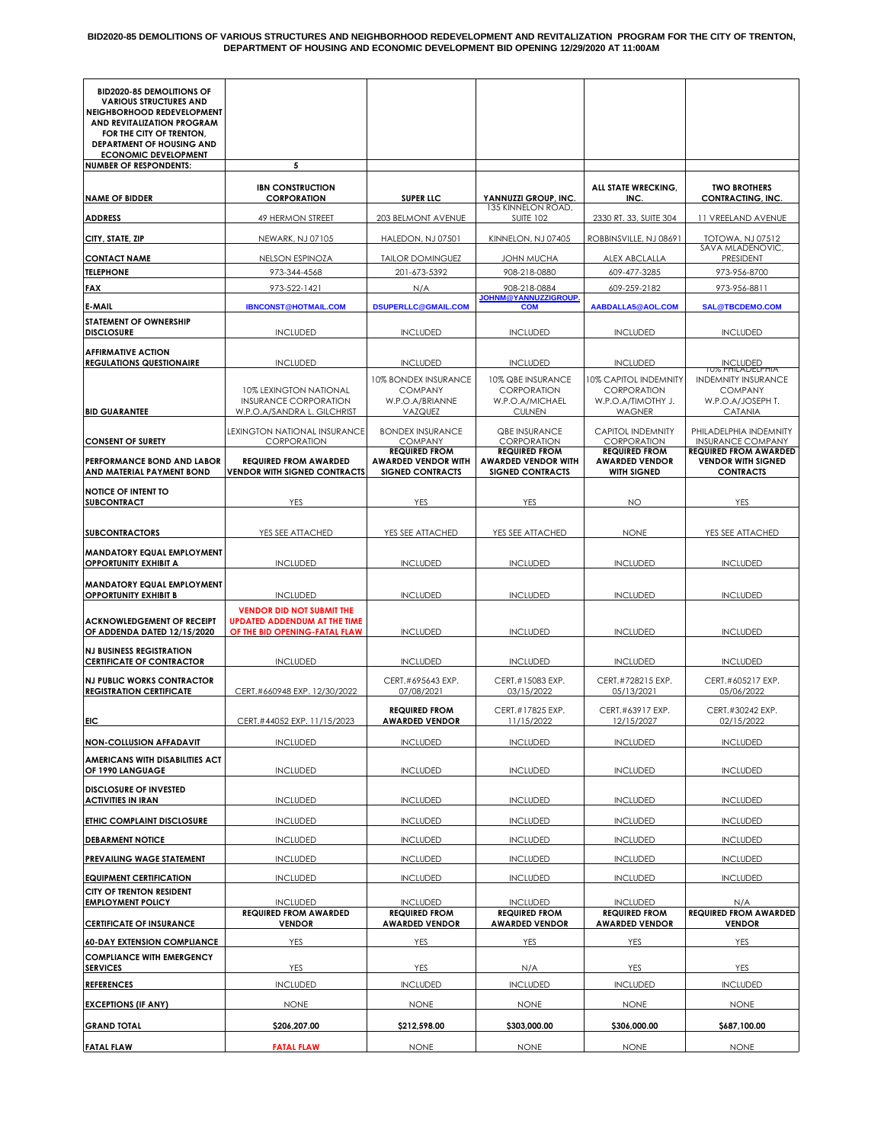BID2020-85 DEMOLITIONS OF VARIOUS STRUCTURES AND NEIGHBORHOOD REDEVELOPMENT AND REVITALIZATION PROGRAM FOR THE CITY OF TRENTON,<br>DEPARTMENT OF HOUSING AND ECONOMIC DEVELOPMENT BID OPENING 12/29/2020 AT 11:00AM

| <b>BID2020-85 DEMOLITIONS OF</b><br><b>VARIOUS STRUCTURES AND</b><br>NEIGHBORHOOD REDEVELOPMENT |                                                                                                   |                                                                               |                                                                               |                                                                                    |                                                                               |
|-------------------------------------------------------------------------------------------------|---------------------------------------------------------------------------------------------------|-------------------------------------------------------------------------------|-------------------------------------------------------------------------------|------------------------------------------------------------------------------------|-------------------------------------------------------------------------------|
| AND REVITALIZATION PROGRAM<br>FOR THE CITY OF TRENTON.<br>DEPARTMENT OF HOUSING AND             |                                                                                                   |                                                                               |                                                                               |                                                                                    |                                                                               |
| <b>ECONOMIC DEVELOPMENT</b><br><b>NUMBER OF RESPONDENTS:</b>                                    | 5                                                                                                 |                                                                               |                                                                               |                                                                                    |                                                                               |
| <b>NAME OF BIDDER</b>                                                                           | <b>IBN CONSTRUCTION</b><br><b>CORPORATION</b>                                                     | <b>SUPER LLC</b>                                                              | YANNUZZI GROUP, INC.                                                          | <b>ALL STATE WRECKING,</b><br>INC.                                                 | <b>TWO BROTHERS</b><br><b>CONTRACTING, INC.</b>                               |
| <b>ADDRESS</b>                                                                                  | 49 HERMON STREET                                                                                  | 203 BELMONT AVENUE                                                            | 135 KINNELON ROAD,<br><b>SUITE 102</b>                                        | 2330 RT. 33, SUITE 304                                                             | 11 VREELAND AVENUE                                                            |
| CITY, STATE, ZIP                                                                                | NEWARK, NJ 07105                                                                                  | HALEDON, NJ 07501                                                             | KINNELON, NJ 07405                                                            | ROBBINSVILLE, NJ 08691                                                             | <b>TOTOWA, NJ 07512</b>                                                       |
| <b>CONTACT NAME</b>                                                                             | NELSON ESPINOZA                                                                                   | <b>TAILOR DOMINGUEZ</b>                                                       | <b>JOHN MUCHA</b>                                                             | ALEX ABCLALLA                                                                      | SAVA MLADENOVIC,<br>PRESIDENT                                                 |
| <b>TELEPHONE</b>                                                                                | 973-344-4568                                                                                      | 201-673-5392                                                                  | 908-218-0880                                                                  | 609-477-3285                                                                       | 973-956-8700                                                                  |
| <b>FAX</b>                                                                                      | 973-522-1421                                                                                      | N/A                                                                           | 908-218-0884<br>JOHNM@YANNUZZIGROUP.                                          | 609-259-2182                                                                       | 973-956-8811                                                                  |
| E-MAIL                                                                                          | <b>IBNCONST@HOTMAIL.COM</b>                                                                       | DSUPERLLC@GMAIL.COM                                                           | <b>COM</b>                                                                    | AABDALLA5@AOL.COM                                                                  | SAL@TBCDEMO.COM                                                               |
| <b>STATEMENT OF OWNERSHIP</b><br><b>DISCLOSURE</b>                                              | <b>INCLUDED</b>                                                                                   | <b>INCLUDED</b>                                                               | <b>INCLUDED</b>                                                               | <b>INCLUDED</b>                                                                    | <b>INCLUDED</b>                                                               |
| <b>AFFIRMATIVE ACTION</b><br><b>REGULATIONS QUESTIONAIRE</b>                                    | <b>INCLUDED</b>                                                                                   | <b>INCLUDED</b>                                                               | <b>INCLUDED</b>                                                               | <b>INCLUDED</b>                                                                    | INCLUDED<br>TU% PHILADELPHIA                                                  |
| <b>BID GUARANTEE</b>                                                                            | 10% LEXINGTON NATIONAL<br><b>INSURANCE CORPORATION</b><br>W.P.O.A/SANDRA L. GILCHRIST             | <b>10% BONDEX INSURANCE</b><br><b>COMPANY</b><br>W.P.O.A/BRIANNE<br>VAZQUEZ   | 10% QBE INSURANCE<br><b>CORPORATION</b><br>W.P.O.A/MICHAEL<br><b>CULNEN</b>   | <b>10% CAPITOL INDEMNITY</b><br>CORPORATION<br>W.P.O.A/TIMOTHY J.<br><b>WAGNER</b> | <b>INDEMNITY INSURANCE</b><br><b>COMPANY</b><br>W.P.O.A/JOSEPH T.<br>CATANIA  |
| <b>CONSENT OF SURETY</b>                                                                        | LEXINGTON NATIONAL INSURANCE<br><b>CORPORATION</b>                                                | <b>BONDEX INSURANCE</b><br><b>COMPANY</b>                                     | <b>QBE INSURANCE</b><br>CORPORATION                                           | CAPITOL INDEMNITY<br>CORPORATION                                                   | PHILADELPHIA INDEMNITY<br><b>INSURANCE COMPANY</b>                            |
| PERFORMANCE BOND AND LABOR<br>AND MATERIAL PAYMENT BOND                                         | <b>REQUIRED FROM AWARDED</b><br><b>VENDOR WITH SIGNED CONTRACTS</b>                               | <b>REQUIRED FROM</b><br><b>AWARDED VENDOR WITH</b><br><b>SIGNED CONTRACTS</b> | <b>REQUIRED FROM</b><br><b>AWARDED VENDOR WITH</b><br><b>SIGNED CONTRACTS</b> | <b>REQUIRED FROM</b><br><b>AWARDED VENDOR</b><br><b>WITH SIGNED</b>                | <b>REQUIRED FROM AWARDED</b><br><b>VENDOR WITH SIGNED</b><br><b>CONTRACTS</b> |
| <b>NOTICE OF INTENT TO</b><br><b>SUBCONTRACT</b>                                                | YES                                                                                               | YES                                                                           | YES                                                                           | <b>NO</b>                                                                          | YES                                                                           |
| <b>SUBCONTRACTORS</b>                                                                           | YES SEE ATTACHED                                                                                  | YES SEE ATTACHED                                                              | YES SEE ATTACHED                                                              | <b>NONE</b>                                                                        | YES SEE ATTACHED                                                              |
| MANDATORY EQUAL EMPLOYMENT<br><b>OPPORTUNITY EXHIBIT A</b>                                      | <b>INCLUDED</b>                                                                                   | <b>INCLUDED</b>                                                               | <b>INCLUDED</b>                                                               | <b>INCLUDED</b>                                                                    | <b>INCLUDED</b>                                                               |
| MANDATORY EQUAL EMPLOYMENT<br><b>OPPORTUNITY EXHIBIT B</b>                                      | <b>INCLUDED</b>                                                                                   | <b>INCLUDED</b>                                                               | <b>INCLUDED</b>                                                               | <b>INCLUDED</b>                                                                    | <b>INCLUDED</b>                                                               |
| <b>ACKNOWLEDGEMENT OF RECEIPT</b><br>OF ADDENDA DATED 12/15/2020                                | <b>VENDOR DID NOT SUBMIT THE</b><br>UPDATED ADDENDUM AT THE TIME<br>OF THE BID OPENING-FATAL FLAW | <b>INCLUDED</b>                                                               | <b>INCLUDED</b>                                                               | <b>INCLUDED</b>                                                                    | <b>INCLUDED</b>                                                               |
| <b>NJ BUSINESS REGISTRATION</b><br><b>CERTIFICATE OF CONTRACTOR</b>                             | <b>INCLUDED</b>                                                                                   | <b>INCLUDED</b>                                                               | <b>INCLUDED</b>                                                               | <b>INCLUDED</b>                                                                    | <b>INCLUDED</b>                                                               |
| <b>NJ PUBLIC WORKS CONTRACTOR</b><br><b>REGISTRATION CERTIFICATE</b>                            | CERT.#660948 EXP. 12/30/2022                                                                      | CERT.#695643 EXP.<br>07/08/2021                                               | CERT.#15083 EXP.<br>03/15/2022                                                | CERT.#728215 EXP.<br>05/13/2021                                                    | CERT.#605217 EXP.<br>05/06/2022                                               |
| EIC                                                                                             | CERT.#44052 EXP. 11/15/2023                                                                       | <b>REQUIRED FROM</b><br><b>AWARDED VENDOR</b>                                 | CERT.#17825 EXP.<br>11/15/2022                                                | CERT.#63917 EXP.<br>12/15/2027                                                     | CERT.#30242 EXP.<br>02/15/2022                                                |
| <b>NON-COLLUSION AFFADAVIT</b>                                                                  | <b>INCLUDED</b>                                                                                   | <b>INCLUDED</b>                                                               | <b>INCLUDED</b>                                                               | <b>INCLUDED</b>                                                                    | <b>INCLUDED</b>                                                               |
| AMERICANS WITH DISABILITIES ACT<br>OF 1990 LANGUAGE                                             | <b>INCLUDED</b>                                                                                   | <b>INCLUDED</b>                                                               | <b>INCLUDED</b>                                                               | <b>INCLUDED</b>                                                                    | <b>INCLUDED</b>                                                               |
| <b>DISCLOSURE OF INVESTED</b><br><b>ACTIVITIES IN IRAN</b>                                      | <b>INCLUDED</b>                                                                                   | <b>INCLUDED</b>                                                               | <b>INCLUDED</b>                                                               | <b>INCLUDED</b>                                                                    | <b>INCLUDED</b>                                                               |
| ETHIC COMPLAINT DISCLOSURE                                                                      | <b>INCLUDED</b>                                                                                   | <b>INCLUDED</b>                                                               | <b>INCLUDED</b>                                                               | <b>INCLUDED</b>                                                                    | <b>INCLUDED</b>                                                               |
| <b>DEBARMENT NOTICE</b>                                                                         | <b>INCLUDED</b>                                                                                   | <b>INCLUDED</b>                                                               | <b>INCLUDED</b>                                                               | <b>INCLUDED</b>                                                                    | <b>INCLUDED</b>                                                               |
| PREVAILING WAGE STATEMENT                                                                       | <b>INCLUDED</b>                                                                                   | <b>INCLUDED</b>                                                               | <b>INCLUDED</b>                                                               | <b>INCLUDED</b>                                                                    | <b>INCLUDED</b>                                                               |
| <b>EQUIPMENT CERTIFICATION</b>                                                                  | <b>INCLUDED</b>                                                                                   | <b>INCLUDED</b>                                                               | <b>INCLUDED</b>                                                               | <b>INCLUDED</b>                                                                    | <b>INCLUDED</b>                                                               |
| <b>CITY OF TRENTON RESIDENT</b><br><b>EMPLOYMENT POLICY</b>                                     | <b>INCLUDED</b>                                                                                   | <b>INCLUDED</b>                                                               | <b>INCLUDED</b>                                                               | <b>INCLUDED</b>                                                                    | N/A                                                                           |
| <b>CERTIFICATE OF INSURANCE</b>                                                                 | <b>REQUIRED FROM AWARDED</b><br><b>VENDOR</b>                                                     | <b>REQUIRED FROM</b><br><b>AWARDED VENDOR</b>                                 | <b>REQUIRED FROM</b><br><b>AWARDED VENDOR</b>                                 | <b>REQUIRED FROM</b><br><b>AWARDED VENDOR</b>                                      | <b>REQUIRED FROM AWARDED</b><br><b>VENDOR</b>                                 |
| <b>60-DAY EXTENSION COMPLIANCE</b>                                                              | YES                                                                                               | YES                                                                           | YES                                                                           | YES                                                                                | <b>YES</b>                                                                    |
| <b>COMPLIANCE WITH EMERGENCY</b><br><b>SERVICES</b>                                             | YES                                                                                               | YES                                                                           | N/A                                                                           | YES                                                                                | <b>YES</b>                                                                    |
| <b>REFERENCES</b>                                                                               | <b>INCLUDED</b>                                                                                   | <b>INCLUDED</b>                                                               | <b>INCLUDED</b>                                                               | <b>INCLUDED</b>                                                                    | <b>INCLUDED</b>                                                               |
| <b>EXCEPTIONS (IF ANY)</b>                                                                      | <b>NONE</b>                                                                                       | <b>NONE</b>                                                                   | <b>NONE</b>                                                                   | <b>NONE</b>                                                                        | <b>NONE</b>                                                                   |
| <b>GRAND TOTAL</b>                                                                              | \$206,207.00                                                                                      | \$212,598.00                                                                  | \$303,000.00                                                                  | \$306,000.00                                                                       | \$687,100.00                                                                  |
| <b>FATAL FLAW</b>                                                                               | <b>FATAL FLAW</b>                                                                                 | <b>NONE</b>                                                                   | <b>NONE</b>                                                                   | <b>NONE</b>                                                                        | <b>NONE</b>                                                                   |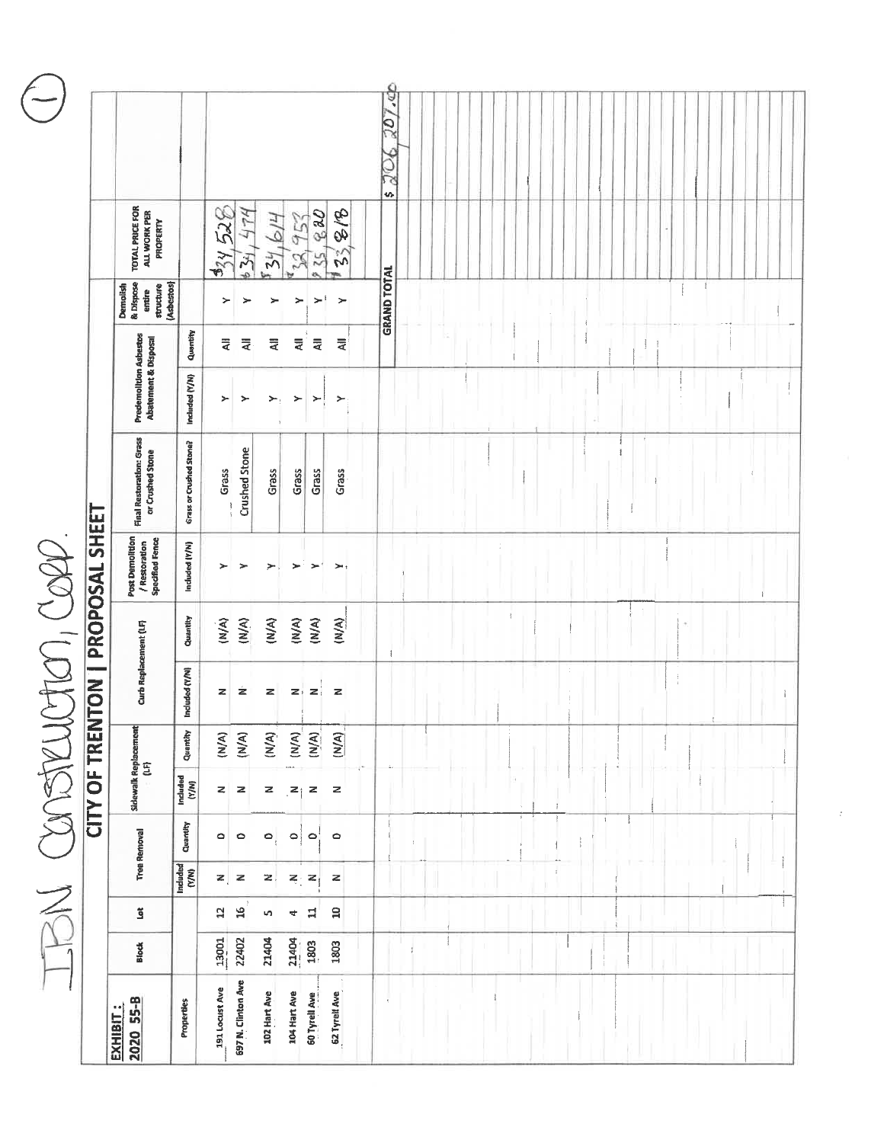|                                         |                                                                   |                         |                          |                                |                    |              |                     |                                    | $\theta$<br>20,<br>$ s  \gtrsim$ |  |  |  |  |  |  |  |
|-----------------------------------------|-------------------------------------------------------------------|-------------------------|--------------------------|--------------------------------|--------------------|--------------|---------------------|------------------------------------|----------------------------------|--|--|--|--|--|--|--|
|                                         | <b>TOTAL PRICE FOR</b><br>ALL WORK PER<br><b>PROPERTY</b>         |                         | 34528                    | 474<br>$\mathbf{y}_\mathrm{H}$ | 419<br>$\tilde{z}$ | 153          | 820<br>ö            | 3/3<br>$\mathcal{E}_{\mathcal{E}}$ |                                  |  |  |  |  |  |  |  |
|                                         | & Dispose<br>(Asbestos)<br><b>Demolish</b><br>structure<br>entire |                         | ≻                        | >                              |                    | ≻            | $\geq$ <sup>1</sup> | ≻                                  | <b>GRAND TOTAL</b>               |  |  |  |  |  |  |  |
|                                         |                                                                   | Quantity                | $\bar{\bar{\mathbf{z}}}$ | ₹                              | $\bar{a}$          | ₹            | $\bar{z}$           | ₹                                  |                                  |  |  |  |  |  |  |  |
|                                         | <b>Predemolition Asbestos</b><br><b>Abatement &amp; Disposal</b>  | Included (Y/N)          | ≻                        | ≻                              | >                  | ≻            | ≻                   | >                                  |                                  |  |  |  |  |  |  |  |
|                                         | Final Restoration: Grass<br>or Crushed Stone                      | Grass or Crushed Stone? | Grass                    | Crushed Stone                  | Grass              | Grass        | Grass               | Grass                              |                                  |  |  |  |  |  |  |  |
| <b>CITY OF TRENTON   PROPOSAL SHEET</b> | Post Demolition<br><b>Specified Fence</b><br>/ Restoration        | Induded (Y/N)           | ≻                        | ≻                              | ≻                  | ≻            | $\geq$              | $\rightarrow$                      |                                  |  |  |  |  |  |  |  |
| 1000, Coll                              |                                                                   | Quantity                | (M/A)                    | $\langle N/A \rangle$          | (M/M)              | (N/A)        | (M/A)               | (N/A)                              | $\frac{1}{2}$                    |  |  |  |  |  |  |  |
|                                         | Curb Replacement (LF)                                             | Included (Y/N)          | z                        | ż                              | z                  | z, z         |                     | $\overline{z}$                     |                                  |  |  |  |  |  |  |  |
|                                         |                                                                   | Quantity                | (M/A)                    | (M/A)                          | (M/A)              | (N/A)        | (N/A)               | (N/A)                              |                                  |  |  |  |  |  |  |  |
|                                         | Sidewalk Replacement<br> -<br>  (LF)                              | Included<br>(Y/N)       | z z                      |                                | z                  | $z_i$        | z                   | z                                  |                                  |  |  |  |  |  |  |  |
|                                         | <b>Tree Removal</b>                                               | Quantity                | $\circ$                  | $\circ$                        | $\circ$            | $\circ$      | $\bullet$           | $\circ$                            |                                  |  |  |  |  |  |  |  |
|                                         |                                                                   | Included<br>(Y/N)       | $\mathbf{z}$             | $\overline{\phantom{a}}$       | z.                 | $z \, z$     |                     | z                                  |                                  |  |  |  |  |  |  |  |
|                                         | š                                                                 |                         | $\overline{a}$           | $\mathfrak{a}$                 | s                  | 4            | $\mathbf{1}$        | $\mathbf{a}$                       |                                  |  |  |  |  |  |  |  |
|                                         | <b>Block</b>                                                      |                         | 13001                    | 22402                          | 21404              | 21404        | 1803                | 1803                               |                                  |  |  |  |  |  |  |  |
|                                         | 2020 55-B<br>$\ddot{\phantom{a}}$<br>EXHIBIT                      | Properties              | 191 Locust Ave           | 697 N. Clinton Ave             | 102 Hart Ave       | 104 Hart Ave | 60 Tyrell Ave       | 62 Tyrell Ave                      |                                  |  |  |  |  |  |  |  |

 $\left(\begin{matrix} -\end{matrix}\right)$ 

 $\mathbf i$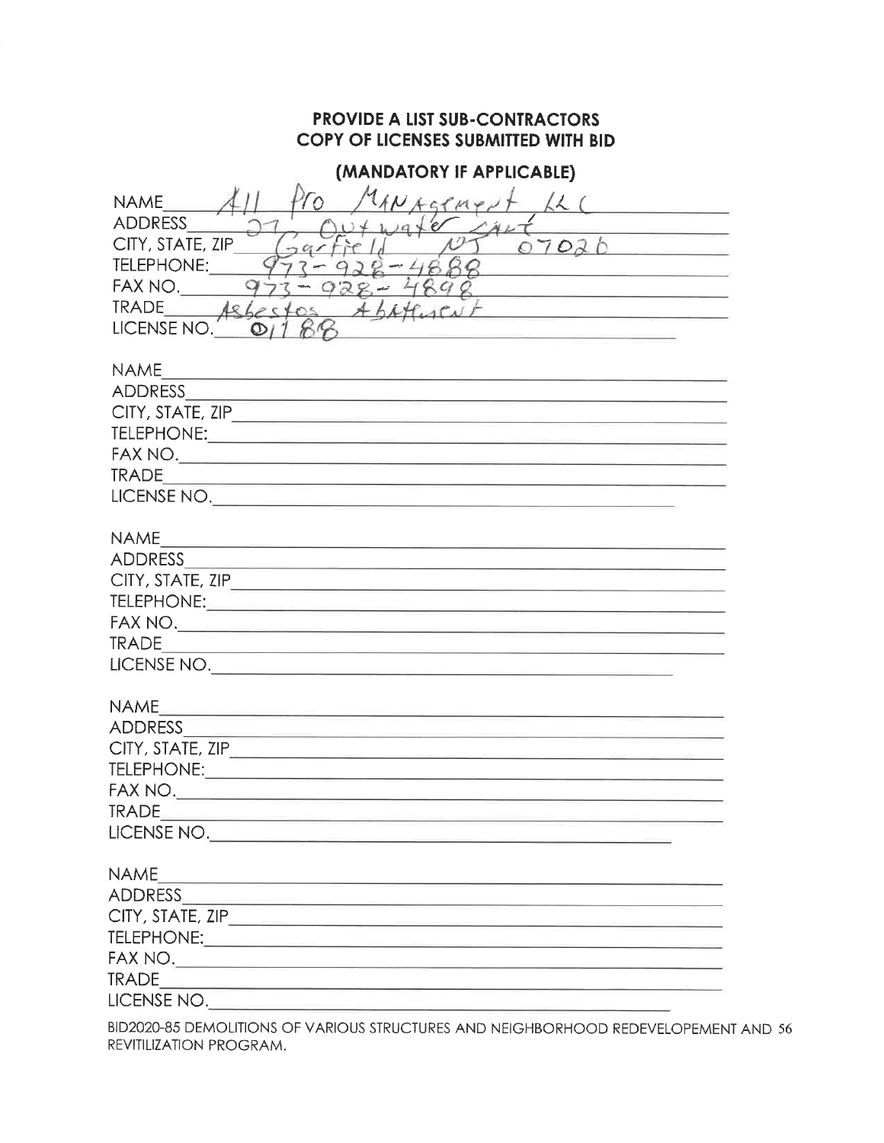### PROVIDE A LIST SUB-CONTRACTORS COPY OF LICENSES SUBMITTED WITH BID

| (MANDATORY IF APPLICABLE)                                                                                                                                       |
|-----------------------------------------------------------------------------------------------------------------------------------------------------------------|
| MANAGEMENT LLC<br><b>NAME</b>                                                                                                                                   |
| <b>ADDRESS</b>                                                                                                                                                  |
| 07026<br>CITY, STATE, ZIP                                                                                                                                       |
| TELEPHONE:                                                                                                                                                      |
| FAX NO.<br>892                                                                                                                                                  |
| $IRADE$ $Asbestes$<br>$A hA H_{iA}$ $a$<br><u>estas de la construcción de la construcción de la construcción de la construcción de la construcción de la co</u> |
| LICENSE NO. $Q/I$<br><u> 1989 - Jan Bernard Bernard, mensk polit</u> ik                                                                                         |
|                                                                                                                                                                 |
| <b>NAME</b><br><u> 1989 - Johann Barn, fransk politik amerikansk politik (</u>                                                                                  |
|                                                                                                                                                                 |
|                                                                                                                                                                 |
|                                                                                                                                                                 |
|                                                                                                                                                                 |
| <b>TRADE</b><br><u> 1989 - Johann Harry Harry Harry Harry Harry Harry Harry Harry Harry Harry Harry Harry Harry Harry Harry Harry</u>                           |
|                                                                                                                                                                 |
|                                                                                                                                                                 |
| <b>NAME</b><br><u> 1989 - Alemania Alemania, menyebaran bahasa per</u>                                                                                          |
|                                                                                                                                                                 |
|                                                                                                                                                                 |
|                                                                                                                                                                 |
| <b>TRADE</b>                                                                                                                                                    |
|                                                                                                                                                                 |
|                                                                                                                                                                 |
| <b>NAME</b>                                                                                                                                                     |
|                                                                                                                                                                 |
|                                                                                                                                                                 |
|                                                                                                                                                                 |
|                                                                                                                                                                 |
| <b>TRADE</b>                                                                                                                                                    |
|                                                                                                                                                                 |
|                                                                                                                                                                 |
| <b>NAME</b><br><u> 1989 - Andrea Stein, Amerikaansk politiker († 1908)</u>                                                                                      |
|                                                                                                                                                                 |
| CITY, STATE, ZIP <b>Example 2018</b>                                                                                                                            |
|                                                                                                                                                                 |
|                                                                                                                                                                 |
| <b>TRADE</b><br>a se de la construcción de la construcción de la construcción de la construcción de la construcción de la const                                 |
| LICENSE NO. And the contract of the contract of $\mathcal{L}$                                                                                                   |

BID2020-85 DEMOLITIONS OF VARIOUS STRUCTURES AND NEIGHBORHOOD REDEVELOPEMENT AND 56 REVITILIZATION PROGRAM.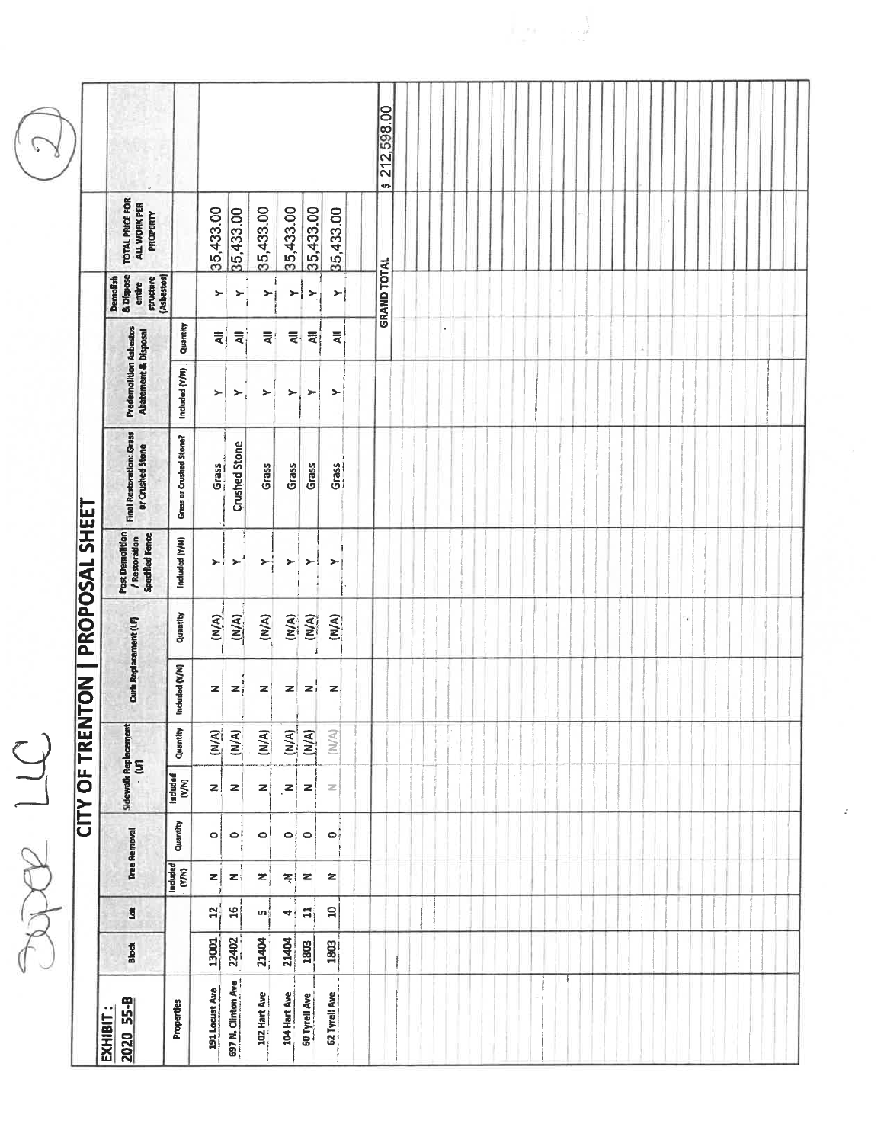|                    |                                                                   |                                |                  |                      |                  |               |                          |               | 212,598.00<br>$\bullet$ |  |  |  |  |  |  |  |  |  |
|--------------------|-------------------------------------------------------------------|--------------------------------|------------------|----------------------|------------------|---------------|--------------------------|---------------|-------------------------|--|--|--|--|--|--|--|--|--|
|                    | <b>TOTAL PRICE FOR</b><br>ALL WORK PER<br>PROPERTY                |                                | 35,433.00        | 35,433.00            | 35,433.00        | 35,433.00     | 35,433.00                | 85,433.00     |                         |  |  |  |  |  |  |  |  |  |
|                    | & Dispose<br>structure<br>(Ashestos)<br><b>Demolish</b><br>entire |                                | ×                | ≻                    | ≻:               | $\succ$       | ×                        | ≻             | <b>GRAND TOTAL</b>      |  |  |  |  |  |  |  |  |  |
|                    |                                                                   | Quantity                       | ₹                | $\overline{z}$       | ₹                | $\equiv$      | 쿸,                       | ₹             |                         |  |  |  |  |  |  |  |  |  |
|                    | <b>Predemolition Asbestos</b><br><b>Abatement &amp; Disposal</b>  | Included (Y/N)                 | ≻                | ≻                    | ≻                | $\succ$       | ≻                        | ≻             |                         |  |  |  |  |  |  |  |  |  |
|                    | Final Restoration: Grass<br>or Crushed Stone                      | <b>Grass or Crushed Stone?</b> | Grass            | <b>Crushed Stone</b> | Grass            | Grass         | Grass                    | Grass         |                         |  |  |  |  |  |  |  |  |  |
| PROPOSAL SHEET     | Post Demolition<br>/ Restoration<br><b>Specified Fence</b>        | Included (Y/N)                 | ≻.               | $\geq$               | ≻                | ≻             | ≻.                       | >             |                         |  |  |  |  |  |  |  |  |  |
|                    |                                                                   | Quantity                       | (M/A)            | $\sum_{i=1}^{n}$     | (M/M)            | (N/A)         | $(\sum_{i=1}^{n}$        | (M/A)         |                         |  |  |  |  |  |  |  |  |  |
| <b>NOLN:</b>       | Curb Replacement (LF)                                             | Induded (Y/N)                  | z                | żį                   | zł               | $\mathbf{z}$  | zi                       | $\approx$     |                         |  |  |  |  |  |  |  |  |  |
|                    |                                                                   | <b>Quantity</b>                | $\sum_{i=1}^{n}$ | (M/A)                | (M/A)            | (MA)          | (M/A)                    | (N/A)         |                         |  |  |  |  |  |  |  |  |  |
| <b>CITY OF TRE</b> | <b>Sidewalk Replacement</b><br>E.                                 | included<br>(Y/N)              | z!               | $\mathbf{z}$         | zi               | $\mathbf{z}$  | $\mathbf{z}$             | $\geq$        |                         |  |  |  |  |  |  |  |  |  |
|                    | <b>Tree Removal</b>                                               | Quantity                       | $\circ$          | $\circ$ !            | $\bullet$        | $\bullet$     | $\circ$                  | $\circ$       |                         |  |  |  |  |  |  |  |  |  |
|                    |                                                                   | Induded<br>(Y/N)               | $\mathbf{z}$     | J<br>zı              | $\boldsymbol{z}$ | ≍ί            | $\overline{\phantom{a}}$ | z             |                         |  |  |  |  |  |  |  |  |  |
|                    | š                                                                 |                                | $\mathbf{a}$     | $\frac{16}{15}$      | ഹ∫               | $\frac{4}{2}$ | $ \mathbf{H} $           | $\mathbf{a}$  |                         |  |  |  |  |  |  |  |  |  |
|                    | <b>Block</b>                                                      |                                | 13001            | 22402                | 21404            | 21404         | 1803                     | 1803          |                         |  |  |  |  |  |  |  |  |  |
|                    | 2020 55-B<br>EXHIBIT:                                             | Properties                     | 191 Locust Ave   | 697 N. Clinton Ave   | 102 Hart Ave     | 104 Hart Ave  | 60 Tyrell Ave            | 62 Tyrell Ave |                         |  |  |  |  |  |  |  |  |  |

 $\label{eq:3.1} \begin{array}{ll} \mathbb{E}[\mathcal{D}^{\text{in}}] & \mathbb{E}[\mathcal{D}^{\text{in}}] \\ \mathbb{E}[\mathcal{D}^{\text{in}}] & \mathbb{E}[\mathcal{D}^{\text{in}}] \end{array}$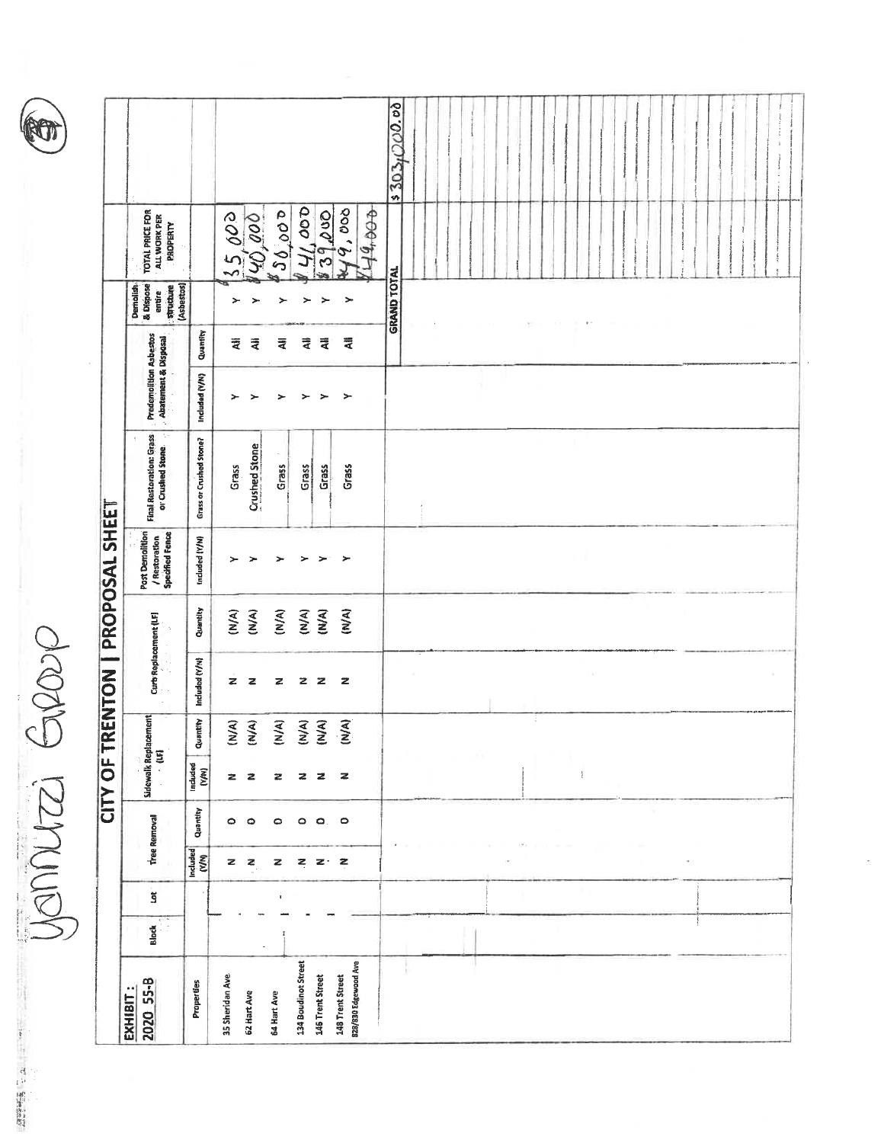| ı |   |  |
|---|---|--|
|   |   |  |
|   |   |  |
| ż | D |  |

 $\ket{5}$ 

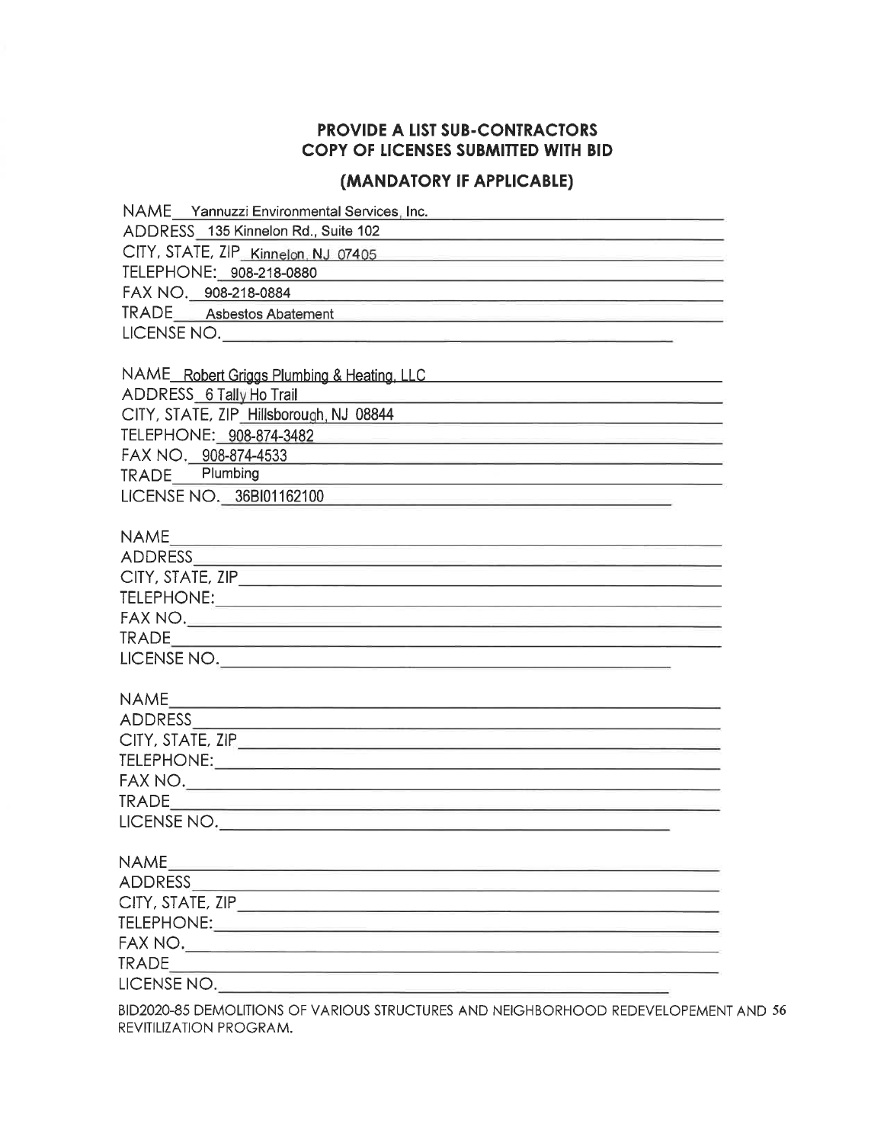## PROVIDE A LIST SUB-CONTRACTORS COPY OF LICENSES SUBMITTED WITH BID

### (MANDATORY IF APPLICABLE)

| NAME Yannuzzi Environmental Services, Inc.                                                                                            |
|---------------------------------------------------------------------------------------------------------------------------------------|
| ADDRESS 135 Kinnelon Rd., Suite 102<br><u> 1980 - Johann John Stone, meilich aus der Stone († 1980)</u>                               |
| CITY, STATE, ZIP Kinnelon, NJ 07405                                                                                                   |
|                                                                                                                                       |
|                                                                                                                                       |
| TRADE Asbestos Abatement Andrew Article and Article and Article and Article and Article and Article and                               |
|                                                                                                                                       |
|                                                                                                                                       |
| NAME_Robert Griggs Plumbing & Heating, LLC NAME_Robert Griggs Plumbing & Heating, LLC                                                 |
| ADDRESS 6 Tally Ho Trail                                                                                                              |
|                                                                                                                                       |
|                                                                                                                                       |
| FAX NO. 908-874-4533                                                                                                                  |
| TRADE Plumbing<br><u> 1989 - Andrea Stadt Britain, amerikansk politik (* 1958)</u>                                                    |
|                                                                                                                                       |
| <b>NAME</b><br><u> 1989 - Johann John Stein, markin fan it ferskearre fan it ferskearre fan it ferskearre fan it ferskearre fan </u>  |
|                                                                                                                                       |
| CITY, STATE, ZIP                                                                                                                      |
|                                                                                                                                       |
|                                                                                                                                       |
|                                                                                                                                       |
|                                                                                                                                       |
|                                                                                                                                       |
|                                                                                                                                       |
|                                                                                                                                       |
|                                                                                                                                       |
|                                                                                                                                       |
|                                                                                                                                       |
|                                                                                                                                       |
|                                                                                                                                       |
| <b>NAME</b><br><u> 1989 - Samuel Alexandro de Carlos III e alexandro de la contrada de la contrada de la contrada de la contrada</u>  |
|                                                                                                                                       |
|                                                                                                                                       |
|                                                                                                                                       |
|                                                                                                                                       |
| <b>TRADE</b><br><u> 1989 - Andrea Santa Alemania, amerikana amerikana amerikana amerikana amerikana amerikana amerikana amerikana</u> |
|                                                                                                                                       |
| BID2020-85 DEMOLITIONS OF VARIOUS STRUCTURES AND NEIGHBORHOOD REDEVELOPEMENT AND 56                                                   |

REVITILIZATION PROGRAM.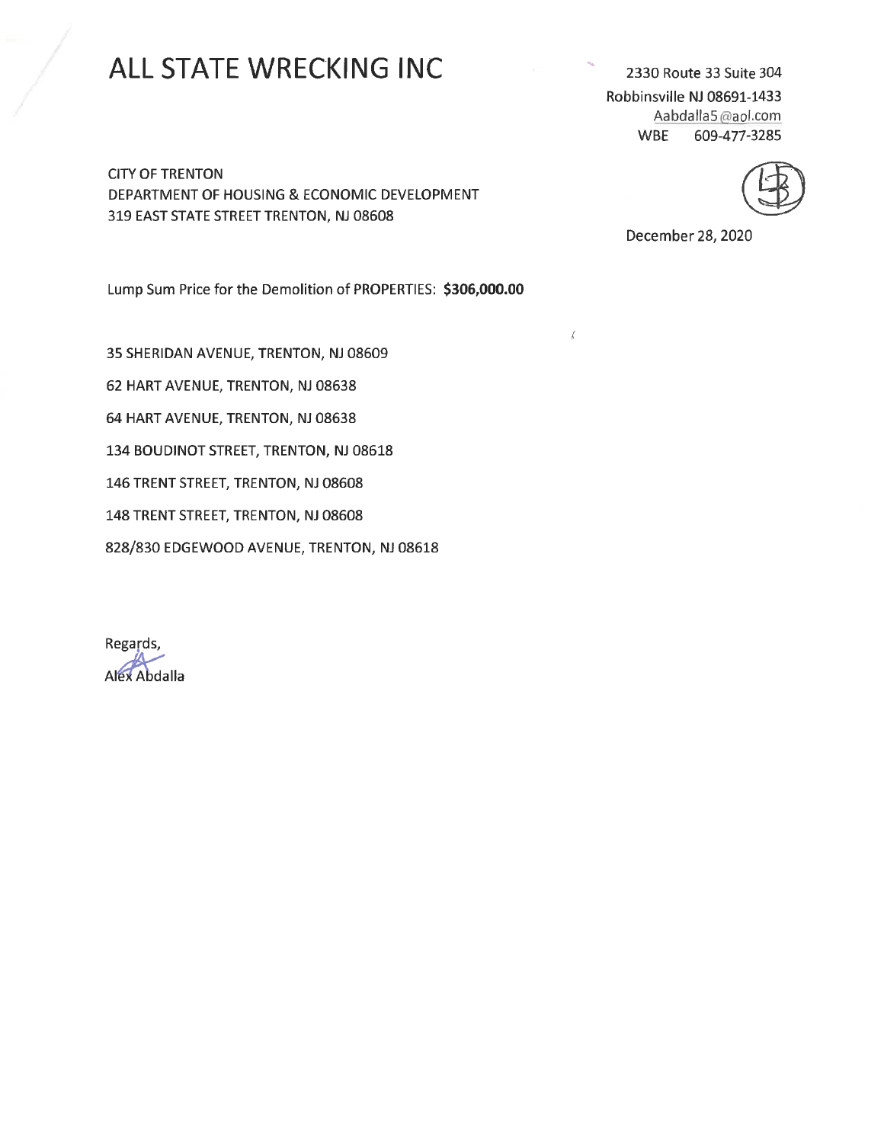# **ALL STATE WRECKING INC**

2330 Route 33 Suite 304 Robbinsville NJ 08691-1433 Aabdalla5@aol.com 609-477-3285 **WBE** 

**CITY OF TRENTON** DEPARTMENT OF HOUSING & ECONOMIC DEVELOPMENT 319 EAST STATE STREET TRENTON, NJ 08608



December 28, 2020

 $\sqrt{ }$ 

Lump Sum Price for the Demolition of PROPERTIES: \$306,000.00

35 SHERIDAN AVENUE, TRENTON, NJ 08609

62 HART AVENUE, TRENTON, NJ 08638 64 HART AVENUE, TRENTON, NJ 08638

134 BOUDINOT STREET, TRENTON, NJ 08618

146 TRENT STREET, TRENTON, NJ 08608

148 TRENT STREET, TRENTON, NJ 08608

828/830 EDGEWOOD AVENUE, TRENTON, NJ 08618

Regards, Alex Abdalla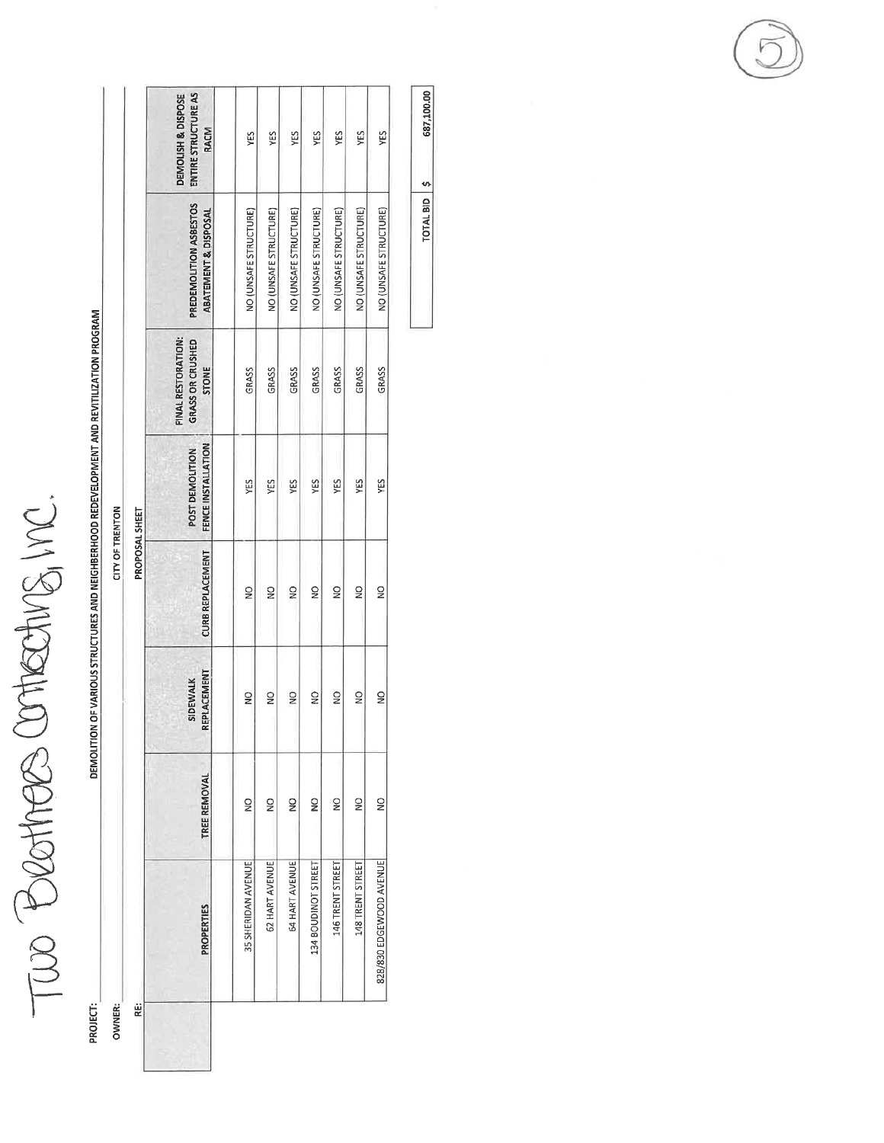TW Beathers Contecting Inc.

DEMOLITION OF VARIOUS STRUCTURES AND NEIGHBERHOOD REDEVELOPMENT AND REVITILIZATION PROGRAM

PROJECT: OWNER:

**CITY OF TRENTON** 

DEMOLISH & DISPOSE<br>ENTIRE STRUCTURE AS **RACM** YES **XES**  $\frac{1}{2}$  $\frac{1}{2}$ YES YES YES **PREDEMOLITION ASBESTOS<br>ABATEMENT & DISPOSAL** NO (UNSAFE STRUCTURE) NO (UNSAFE STRUCTURE) NO (UNSAFE STRUCTURE) NO (UNSAFE STRUCTURE) NO (UNSAFE STRUCTURE) NO (UNSAFE STRUCTURE) NO (UNSAFE STRUCTURE) **FINAL RESTORATION:**<br>GRASS OR CRUSHED **STONE** GRASS GRASS GRASS GRASS GRASS GRASS GRASS FENCE INSTALLATION POST DEMOLITION **SEX SEX** ΥËS **XES YES** YES YES PROPOSAL SHEET **CURB REPLACEMENT**  $\mathsf{S}$  $\frac{1}{2}$  $\frac{1}{2}$  $\lvert \mathbf{S} \rvert$  $\ensuremath{\mathsf{S}}$  $\frac{1}{2}$  $\overline{a}$ REPLACEMENT SIDEWALK  $\frac{1}{2}$  $\mathsf{S}$  $\frac{1}{2}$  $\frac{1}{2}$  $\overline{5}$  $\lvert \overline{S} \rvert$  $\frac{1}{2}$ TREE REMOVAL  $\overline{2}$  $\lvert \mathbf{S} \rvert$  $\frac{1}{2}$  $\frac{1}{2}$  $\frac{1}{2}$  $\mathsf{S}$  $\lvert \mathbf{S} \rvert$ 35 SHERIDAN AVENUE 62 HART AVENUE 64 HART AVENUE 148 TRENT STREET 828/830 EDGEWOOD AVENUE 134 BOUDINOT STREET 146 TRENT STREET **PROPERTIES** 뻬

687,100.00 TOTAL BID \$